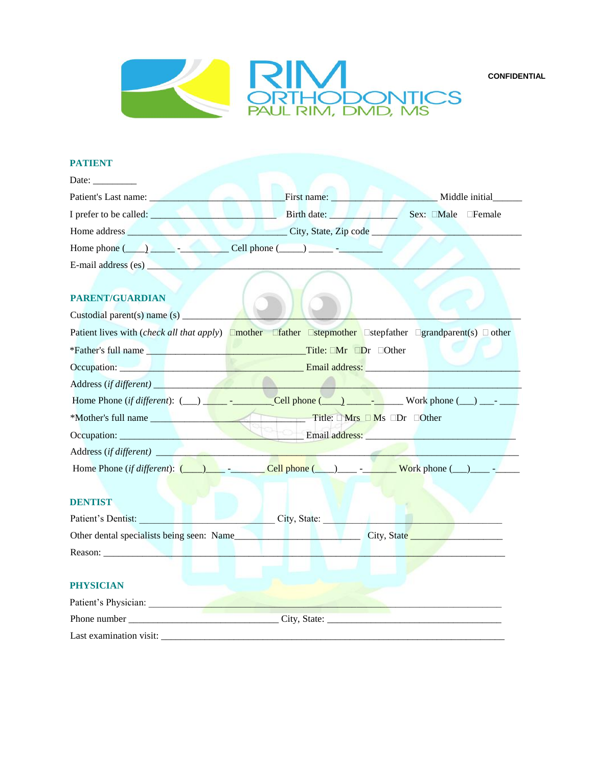**CONFIDENTIAL**



### **PATIENT**

| Date: $\frac{1}{\sqrt{1-\frac{1}{2}}\cdot\frac{1}{2}}$ |                                                                                                                                                                                                                                                                                                                                                                                   |  |  |  |
|--------------------------------------------------------|-----------------------------------------------------------------------------------------------------------------------------------------------------------------------------------------------------------------------------------------------------------------------------------------------------------------------------------------------------------------------------------|--|--|--|
|                                                        | Patient's Last name: Middle initial Middle initial                                                                                                                                                                                                                                                                                                                                |  |  |  |
|                                                        | I prefer to be called: Birth date: Sex: Male Female                                                                                                                                                                                                                                                                                                                               |  |  |  |
|                                                        |                                                                                                                                                                                                                                                                                                                                                                                   |  |  |  |
|                                                        | Home phone $\begin{array}{c} \begin{array}{c} \hline \end{array}$ $\begin{array}{c} \hline \end{array}$ $\begin{array}{c} \hline \end{array}$ $\begin{array}{c} \hline \end{array}$ $\begin{array}{c} \hline \end{array}$ $\begin{array}{c} \hline \end{array}$ $\begin{array}{c} \hline \end{array}$ $\begin{array}{c} \hline \end{array}$ $\begin{array}{c} \hline \end{array}$ |  |  |  |
| E-mail address (es)                                    |                                                                                                                                                                                                                                                                                                                                                                                   |  |  |  |
| <b>PARENT/GUARDIAN</b>                                 | Patient lives with ( <i>check all that apply</i> ) <b>Omother Ostepmother Ostepmother Ostepfather Operation Operation Operation Operation Operation Operation Operation Operation Operation Operation Oper</b>                                                                                                                                                                    |  |  |  |
|                                                        | *Father's full name Title: Mr Dr Other                                                                                                                                                                                                                                                                                                                                            |  |  |  |
|                                                        | Occupation: New York Contract and Security 2014 and Security 2014 and Security 2014 and Security 2014 and Security 2014 and Security 2014 and Security 2014 and Security 2014 and Security 2014 and Security 2014 and Security                                                                                                                                                    |  |  |  |
|                                                        |                                                                                                                                                                                                                                                                                                                                                                                   |  |  |  |
|                                                        |                                                                                                                                                                                                                                                                                                                                                                                   |  |  |  |
|                                                        | *Mother's full name Title: I Mrs I Ms IDr IOther                                                                                                                                                                                                                                                                                                                                  |  |  |  |
|                                                        |                                                                                                                                                                                                                                                                                                                                                                                   |  |  |  |
|                                                        |                                                                                                                                                                                                                                                                                                                                                                                   |  |  |  |
|                                                        | Home Phone (if different): $($ $)$ $ \text{Cell phone}$ ( $\text{blue}$ ) $\text{blue}$ $\text{Work phone}$ ( $\text{blue}$ ) $\text{blue}$ $\text{blue}$                                                                                                                                                                                                                         |  |  |  |
| <b>DENTIST</b>                                         |                                                                                                                                                                                                                                                                                                                                                                                   |  |  |  |
| Patient's Dentist:                                     | <b>City, State:</b>                                                                                                                                                                                                                                                                                                                                                               |  |  |  |
|                                                        |                                                                                                                                                                                                                                                                                                                                                                                   |  |  |  |
| Reason: New York 1988                                  |                                                                                                                                                                                                                                                                                                                                                                                   |  |  |  |
|                                                        |                                                                                                                                                                                                                                                                                                                                                                                   |  |  |  |
| <b>PHYSICIAN</b>                                       |                                                                                                                                                                                                                                                                                                                                                                                   |  |  |  |
| Patient's Physician:                                   |                                                                                                                                                                                                                                                                                                                                                                                   |  |  |  |
|                                                        | Phone number City, State:                                                                                                                                                                                                                                                                                                                                                         |  |  |  |
| Last examination visit:                                |                                                                                                                                                                                                                                                                                                                                                                                   |  |  |  |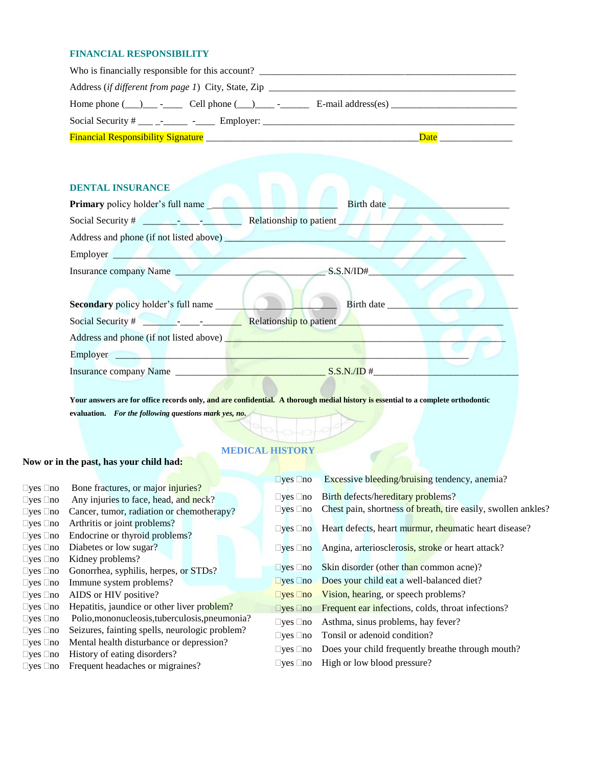## **FINANCIAL RESPONSIBILITY**

| Who is financially responsible for this account?         |      |
|----------------------------------------------------------|------|
|                                                          |      |
| Home phone $( )$ - Cell phone $( )$ - E-mail address(es) |      |
|                                                          |      |
|                                                          | Date |

## **DENTAL INSURANCE**

| <b>Primary</b> policy holder's full name   | Birth date <b>Exercise Service</b> Service Service Service Service Service Service Service Service Service Service Service Service Service Service Service Service Service Service Service Service Service Service Service Service |
|--------------------------------------------|------------------------------------------------------------------------------------------------------------------------------------------------------------------------------------------------------------------------------------|
|                                            |                                                                                                                                                                                                                                    |
|                                            |                                                                                                                                                                                                                                    |
| Employer                                   |                                                                                                                                                                                                                                    |
| Insurance company Name                     | S.S.N/ID#                                                                                                                                                                                                                          |
|                                            |                                                                                                                                                                                                                                    |
| <b>Secondary</b> policy holder's full name | <b>Birth date</b>                                                                                                                                                                                                                  |
|                                            |                                                                                                                                                                                                                                    |
|                                            |                                                                                                                                                                                                                                    |
|                                            |                                                                                                                                                                                                                                    |
|                                            |                                                                                                                                                                                                                                    |
|                                            |                                                                                                                                                                                                                                    |

**Your answers are for office records only, and are confidential. A thorough medial history is essential to a complete orthodontic evaluation.** *For the following questions mark yes, no.*

# **MEDICAL HISTORY**

# **Now or in the past, has your child had:**

|                            |                                                | $\Box$ yes $\Box$ no       | Excessive bleeding/bruising tendency, anemia?                                 |
|----------------------------|------------------------------------------------|----------------------------|-------------------------------------------------------------------------------|
| $\Box$ yes $\Box$ no       | Bone fractures, or major <i>injuries</i> ?     |                            |                                                                               |
| $\square$ yes $\square$ no | Any injuries to face, head, and neck?          | $\Box$ yes $\Box$ no       | Birth defects/hereditary problems?                                            |
| $\Box$ yes $\Box$ no       | Cancer, tumor, radiation or chemotherapy?      | $\square$ yes $\square$ no | Chest pain, shortness of breath, tire easily, swollen ankles?                 |
| $\Box$ yes $\Box$ no       | Arthritis or joint problems?                   | $\Box$ yes $\Box$ no       | Heart defects, heart murmur, rheumatic heart disease?                         |
| $\square$ yes $\square$ no | Endocrine or thyroid problems?                 |                            |                                                                               |
| $\Box$ yes $\Box$ no       | Diabetes or low sugar?                         | $\Box$ yes $\Box$ no       | Angina, arteriosclerosis, stroke or heart attack?                             |
| $\Box$ yes $\Box$ no       | Kidney problems?                               |                            |                                                                               |
| $\Box$ yes $\Box$ no       | Gonorrhea, syphilis, herpes, or STDs?          | $\Box$ yes $\Box$ no       | Skin disorder (other than common acne)?                                       |
| $\square$ yes $\square$ no | Immune system problems?                        | $\Box$ yes $\Box$ no       | Does your child eat a well-balanced diet?                                     |
| $\Box$ yes $\Box$ no       | AIDS or HIV positive?                          | $\Box$ yes $\Box$ no       | Vision, hearing, or speech problems?                                          |
| $\square$ yes $\square$ no | Hepatitis, jaundice or other liver problem?    |                            | $\square$ yes $\square$ no Frequent ear infections, colds, throat infections? |
| $\Box$ yes $\Box$ no       | Polio, mononucleosis, tuberculosis, pneumonia? | $\square$ yes $\square$ no | Asthma, sinus problems, hay fever?                                            |
| $\Box$ yes $\Box$ no       | Seizures, fainting spells, neurologic problem? | $\square$ yes $\square$ no | Tonsil or adenoid condition?                                                  |
| $\Box$ yes $\Box$ no       | Mental health disturbance or depression?       |                            |                                                                               |
| $\Box$ yes $\Box$ no       | History of eating disorders?                   | $\square$ yes $\square$ no | Does your child frequently breathe through mouth?                             |
| $\square$ yes $\square$ no | Frequent headaches or migraines?               | $\square$ yes $\square$ no | High or low blood pressure?                                                   |
|                            |                                                |                            |                                                                               |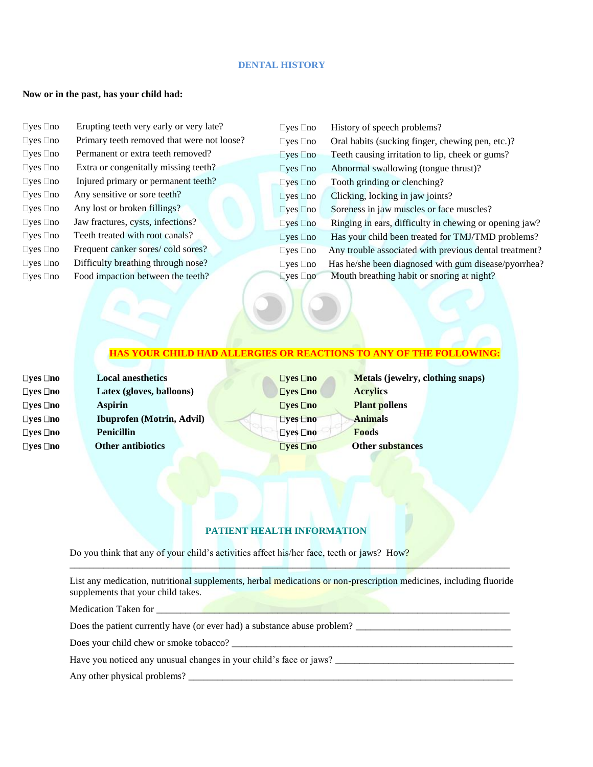## **DENTAL HISTORY**

#### **Now or in the past, has your child had:**

| $\Box$ yes $\Box$ no | Erupting teeth very early or very late?    | $\Box$ yes $\Box$ no | History of speech problems?                            |
|----------------------|--------------------------------------------|----------------------|--------------------------------------------------------|
| $\Box$ yes $\Box$ no | Primary teeth removed that were not loose? | $\Box$ yes $\Box$ no | Oral habits (sucking finger, chewing pen, etc.)?       |
| $\Box$ yes $\Box$ no | Permanent or extra teeth removed?          | $\neg$ yes $\neg$ no | Teeth causing irritation to lip, cheek or gums?        |
| $\Box$ yes $\Box$ no | Extra or congenitally missing teeth?       | $\Box$ yes $\Box$ no | Abnormal swallowing (tongue thrust)?                   |
| $\Box$ yes $\Box$ no | Injured primary or permanent teeth?        | $\Box$ yes $\Box$ no | Tooth grinding or clenching?                           |
| $\Box$ yes $\Box$ no | Any sensitive or sore teeth?               | $\Box$ yes $\Box$ no | Clicking, locking in jaw joints?                       |
| $\Box$ yes $\Box$ no | Any lost or broken fillings?               | $\n  Yes\n  o$       | Soreness in jaw muscles or face muscles?               |
| $\Box$ yes $\Box$ no | Jaw fractures, cysts, infections?          | $\Box$ yes $\Box$ no | Ringing in ears, difficulty in chewing or opening jaw? |
| $\Box$ yes $\Box$ no | Teeth treated with root canals?            | $\Box$ yes $\Box$ no | Has your child been treated for TMJ/TMD problems?      |
| $\Box$ yes $\Box$ no | Frequent canker sores/ cold sores?         | $\Box$ yes $\Box$ no | Any trouble associated with previous dental treatment? |
| $\Box$ yes $\Box$ no | Difficulty breathing through nose?         | $\Box$ yes $\Box$ no | Has he/she been diagnosed with gum disease/pyorrhea?   |
| $\Box$ yes $\Box$ no | Food impaction between the teeth?          | $\Box$ yes $\Box$ no | Mouth breathing habit or snoring at night?             |
|                      |                                            |                      |                                                        |

## **HAS YOUR CHILD HAD ALLERGIES OR REACTIONS TO ANY OF THE FOLLOWING:**

**yes no Aspirin yes no Penicillin**

**yes no Local anesthetics yes no Latex (gloves, balloons) yes no Ibuprofen (Motrin, Advil) yes no Other antibiotics**

**yes no Acrylics** *<u>Elyes Eno</u>* **<b>Plant pollens yes no Animals yes no Foods** *<u><b>Dyes* Dno *Other substances*</u>

**yes no Metals (jewelry, clothing snaps)**

# **PATIENT HEALTH INFORMATION**

Do you think that any of your child's activities affect his/her face, teeth or jaws? How?

List any medication, nutritional supplements, herbal medications or non-prescription medicines, including fluoride supplements that your child takes.

\_\_\_\_\_\_\_\_\_\_\_\_\_\_\_\_\_\_\_\_\_\_\_\_\_\_\_\_\_\_\_\_\_\_\_\_\_\_\_\_\_\_\_\_\_\_\_\_\_\_\_\_\_\_\_\_\_\_\_\_\_\_\_\_\_\_\_\_\_\_\_\_\_\_\_\_\_\_\_\_\_\_\_\_\_\_\_\_\_\_\_

Medication Taken for

Does the patient currently have (or ever had) a substance abuse problem?

Does your child chew or smoke tobacco? \_\_\_\_\_\_\_\_\_\_\_\_\_\_\_\_\_\_\_\_\_\_\_\_\_\_\_\_\_\_\_\_\_\_\_\_\_\_\_\_\_\_\_\_\_\_\_\_\_\_\_\_\_\_\_\_\_\_

Have you noticed any unusual changes in your child's face or jaws?

Any other physical problems?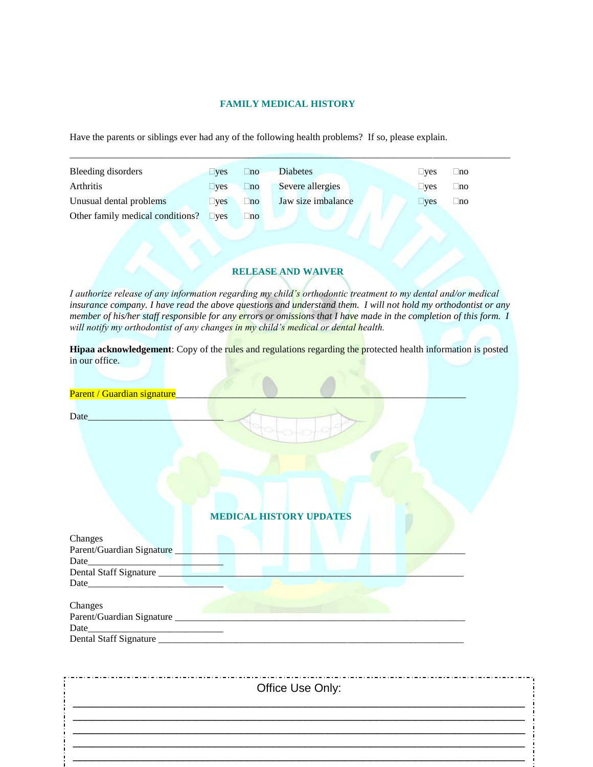## **FAMILY MEDICAL HISTORY**

 $\_$  ,  $\_$  ,  $\_$  ,  $\_$  ,  $\_$  ,  $\_$  ,  $\_$  ,  $\_$  ,  $\_$  ,  $\_$  ,  $\_$  ,  $\_$  ,  $\_$  ,  $\_$  ,  $\_$  ,  $\_$  ,  $\_$  ,  $\_$  ,  $\_$  ,  $\_$  ,  $\_$  ,  $\_$  ,  $\_$  ,  $\_$  ,  $\_$  ,  $\_$  ,  $\_$  ,  $\_$  ,  $\_$  ,  $\_$  ,  $\_$  ,  $\_$  ,  $\_$  ,  $\_$  ,  $\_$  ,  $\_$  ,  $\_$  ,

Have the parents or siblings ever had any of the following health problems? If so, please explain.

| Bleeding disorders               | $\square$ ves | $\Box$ no | <b>Diabetes</b>    | $\sqcup$ ves | $\sqcup$ no |
|----------------------------------|---------------|-----------|--------------------|--------------|-------------|
| Arthritis                        | $\square$ ves | $\Box$ no | Severe allergies   | $\sqcup$ ves | $\sqcup$ no |
| Unusual dental problems          | $\square$ ves | $\Box$ no | Jaw size imbalance | $\sqcup$ yes | $\sqcup$ no |
| Other family medical conditions? | $\n  These\n$ | $\Box$ no |                    |              |             |
|                                  |               |           |                    |              |             |
|                                  |               |           |                    |              |             |

## **RELEASE AND WAIVER**

*I authorize release of any information regarding my child's orthodontic treatment to my dental and/or medical insurance company. I have read the above questions and understand them. I will not hold my orthodontist or any member of his/her staff responsible for any errors or omissions that I have made in the completion of this form.* I *will notify my orthodontist of any changes in my child's medical or dental health.*

**Hipaa acknowledgement**: Copy of the rules and regulations regarding the protected health information is posted in our office.

| Date                                                                                                                                                                                                                          |                                |
|-------------------------------------------------------------------------------------------------------------------------------------------------------------------------------------------------------------------------------|--------------------------------|
|                                                                                                                                                                                                                               |                                |
|                                                                                                                                                                                                                               |                                |
|                                                                                                                                                                                                                               | <b>MEDICAL HISTORY UPDATES</b> |
| Changes<br>Parent/Guardian Signature                                                                                                                                                                                          |                                |
|                                                                                                                                                                                                                               |                                |
|                                                                                                                                                                                                                               |                                |
| Date experience and the second service of the service of the service of the service of the service of the service of the service of the service of the service of the service of the service of the service of the service of |                                |
| Changes                                                                                                                                                                                                                       |                                |
| Parent/Guardian Signature                                                                                                                                                                                                     |                                |
|                                                                                                                                                                                                                               |                                |
|                                                                                                                                                                                                                               |                                |

| Office Use Only: |
|------------------|
|                  |
|                  |